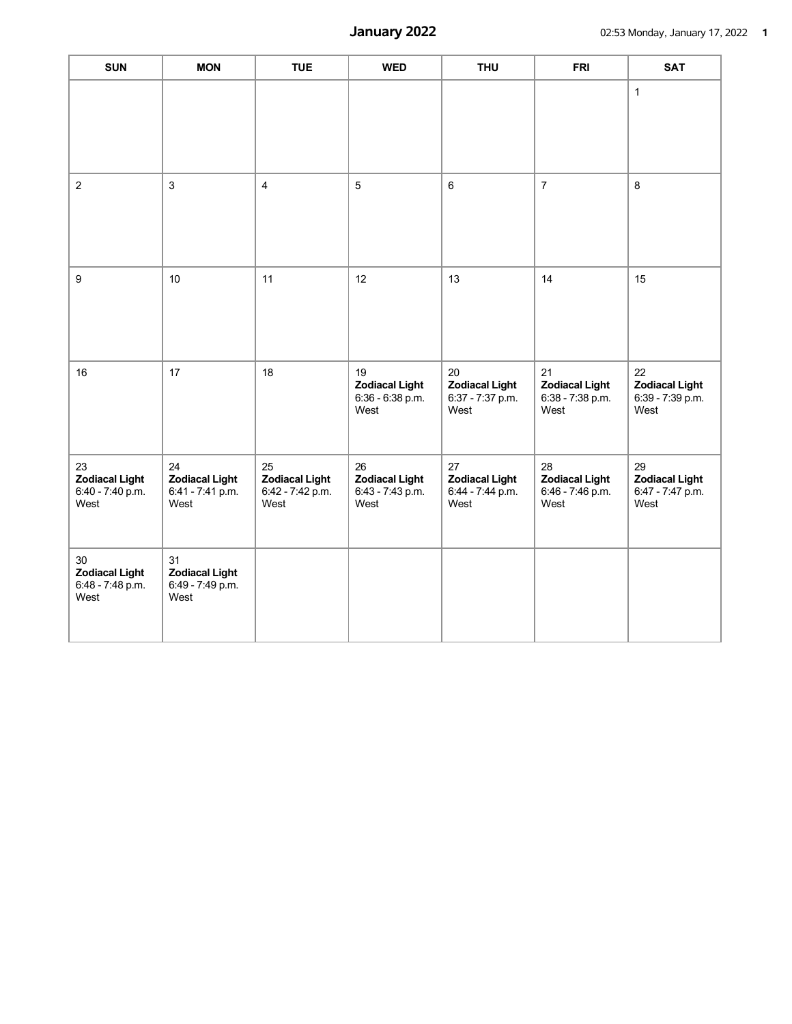| <b>SUN</b>                                              | <b>MON</b>                                              | <b>TUE</b>                                              | <b>WED</b>                                              | <b>THU</b>                                              | <b>FRI</b>                                              | <b>SAT</b>                                              |
|---------------------------------------------------------|---------------------------------------------------------|---------------------------------------------------------|---------------------------------------------------------|---------------------------------------------------------|---------------------------------------------------------|---------------------------------------------------------|
|                                                         |                                                         |                                                         |                                                         |                                                         |                                                         | $\mathbf{1}$                                            |
| $\overline{2}$                                          | $\mathbf{3}$                                            | $\overline{4}$                                          | 5                                                       | $\,6\,$                                                 | $\overline{7}$                                          | 8                                                       |
| 9                                                       | 10                                                      | 11                                                      | 12                                                      | 13                                                      | 14                                                      | 15                                                      |
| 16                                                      | 17                                                      | 18                                                      | 19<br><b>Zodiacal Light</b><br>6:36 - 6:38 p.m.<br>West | 20<br><b>Zodiacal Light</b><br>6:37 - 7:37 p.m.<br>West | 21<br><b>Zodiacal Light</b><br>6:38 - 7:38 p.m.<br>West | 22<br><b>Zodiacal Light</b><br>6:39 - 7:39 p.m.<br>West |
| 23<br><b>Zodiacal Light</b><br>6:40 - 7:40 p.m.<br>West | 24<br><b>Zodiacal Light</b><br>6:41 - 7:41 p.m.<br>West | 25<br><b>Zodiacal Light</b><br>6:42 - 7:42 p.m.<br>West | 26<br><b>Zodiacal Light</b><br>6:43 - 7:43 p.m.<br>West | 27<br><b>Zodiacal Light</b><br>6:44 - 7:44 p.m.<br>West | 28<br><b>Zodiacal Light</b><br>6:46 - 7:46 p.m.<br>West | 29<br><b>Zodiacal Light</b><br>6:47 - 7:47 p.m.<br>West |
| 30<br><b>Zodiacal Light</b><br>6:48 - 7:48 p.m.<br>West | 31<br><b>Zodiacal Light</b><br>6:49 - 7:49 p.m.<br>West |                                                         |                                                         |                                                         |                                                         |                                                         |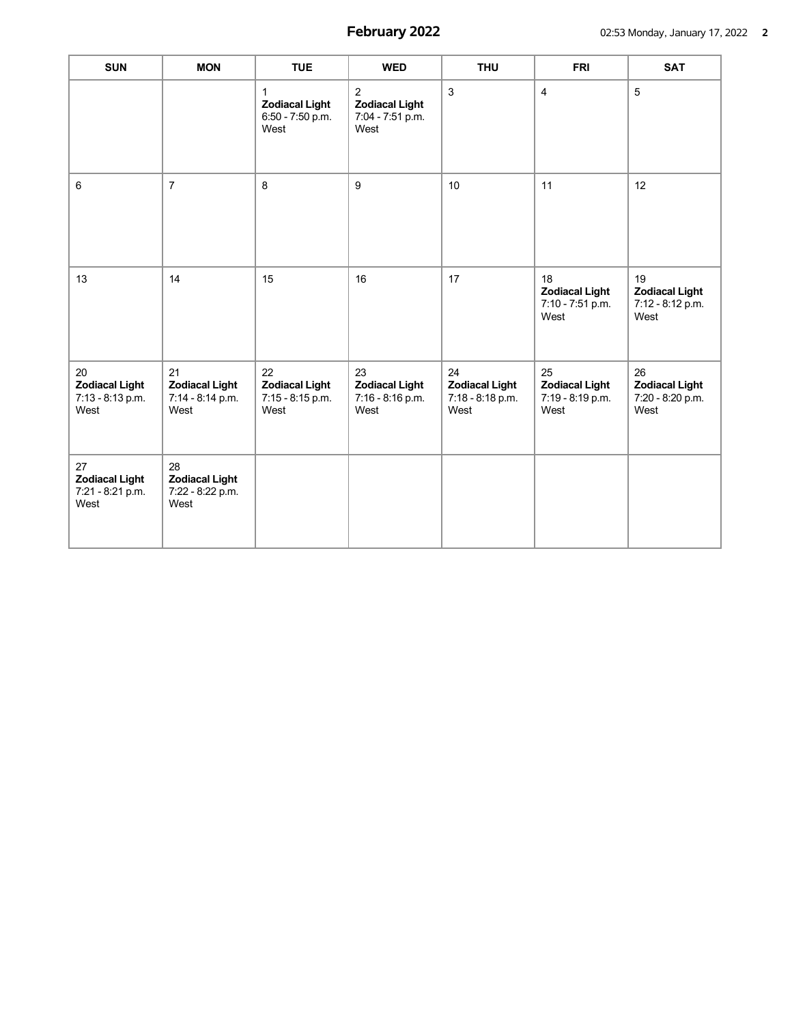| <b>SUN</b>                                              | <b>MON</b>                                              | <b>TUE</b>                                                | <b>WED</b>                                                          | <b>THU</b>                                              | <b>FRI</b>                                              | <b>SAT</b>                                              |
|---------------------------------------------------------|---------------------------------------------------------|-----------------------------------------------------------|---------------------------------------------------------------------|---------------------------------------------------------|---------------------------------------------------------|---------------------------------------------------------|
|                                                         |                                                         | 1<br><b>Zodiacal Light</b><br>6:50 - 7:50 p.m.<br>West    | $\overline{2}$<br><b>Zodiacal Light</b><br>7:04 - 7:51 p.m.<br>West | 3                                                       | $\overline{4}$                                          | 5                                                       |
| 6                                                       | $\overline{7}$                                          | 8                                                         | $\boldsymbol{9}$                                                    | 10                                                      | 11                                                      | 12                                                      |
| 13                                                      | 14                                                      | 15                                                        | 16                                                                  | 17                                                      | 18<br><b>Zodiacal Light</b><br>7:10 - 7:51 p.m.<br>West | 19<br><b>Zodiacal Light</b><br>7:12 - 8:12 p.m.<br>West |
| 20<br><b>Zodiacal Light</b><br>7:13 - 8:13 p.m.<br>West | 21<br><b>Zodiacal Light</b><br>7:14 - 8:14 p.m.<br>West | 22<br><b>Zodiacal Light</b><br>$7:15 - 8:15$ p.m.<br>West | 23<br><b>Zodiacal Light</b><br>7:16 - 8:16 p.m.<br>West             | 24<br><b>Zodiacal Light</b><br>7:18 - 8:18 p.m.<br>West | 25<br><b>Zodiacal Light</b><br>7:19 - 8:19 p.m.<br>West | 26<br><b>Zodiacal Light</b><br>7:20 - 8:20 p.m.<br>West |
| 27<br><b>Zodiacal Light</b><br>7:21 - 8:21 p.m.<br>West | 28<br><b>Zodiacal Light</b><br>7:22 - 8:22 p.m.<br>West |                                                           |                                                                     |                                                         |                                                         |                                                         |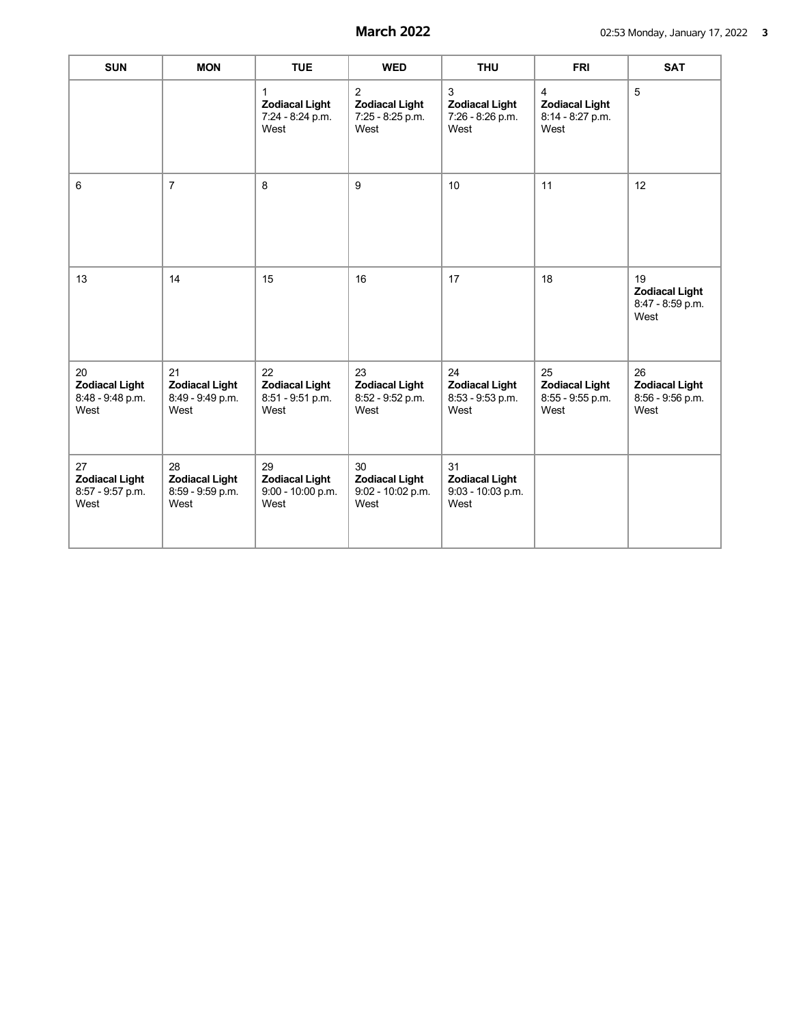| <b>SUN</b>                                              | <b>MON</b>                                              | <b>TUE</b>                                               | <b>WED</b>                                                          | <b>THU</b>                                               | <b>FRI</b>                                                          | <b>SAT</b>                                              |
|---------------------------------------------------------|---------------------------------------------------------|----------------------------------------------------------|---------------------------------------------------------------------|----------------------------------------------------------|---------------------------------------------------------------------|---------------------------------------------------------|
|                                                         |                                                         | 1<br><b>Zodiacal Light</b><br>7:24 - 8:24 p.m.<br>West   | $\overline{2}$<br><b>Zodiacal Light</b><br>7:25 - 8:25 p.m.<br>West | 3<br><b>Zodiacal Light</b><br>7:26 - 8:26 p.m.<br>West   | $\overline{4}$<br><b>Zodiacal Light</b><br>8:14 - 8:27 p.m.<br>West | 5                                                       |
| 6                                                       | $\overline{7}$                                          | 8                                                        | 9                                                                   | 10                                                       | 11                                                                  | 12                                                      |
| 13                                                      | 14                                                      | 15                                                       | 16                                                                  | 17                                                       | 18                                                                  | 19<br><b>Zodiacal Light</b><br>8:47 - 8:59 p.m.<br>West |
| 20<br><b>Zodiacal Light</b><br>8:48 - 9:48 p.m.<br>West | 21<br><b>Zodiacal Light</b><br>8:49 - 9:49 p.m.<br>West | 22<br><b>Zodiacal Light</b><br>8:51 - 9:51 p.m.<br>West  | 23<br><b>Zodiacal Light</b><br>8:52 - 9:52 p.m.<br>West             | 24<br><b>Zodiacal Light</b><br>8:53 - 9:53 p.m.<br>West  | 25<br><b>Zodiacal Light</b><br>8:55 - 9:55 p.m.<br>West             | 26<br><b>Zodiacal Light</b><br>8:56 - 9:56 p.m.<br>West |
| 27<br><b>Zodiacal Light</b><br>8:57 - 9:57 p.m.<br>West | 28<br><b>Zodiacal Light</b><br>8:59 - 9:59 p.m.<br>West | 29<br><b>Zodiacal Light</b><br>9:00 - 10:00 p.m.<br>West | 30<br><b>Zodiacal Light</b><br>9:02 - 10:02 p.m.<br>West            | 31<br><b>Zodiacal Light</b><br>9:03 - 10:03 p.m.<br>West |                                                                     |                                                         |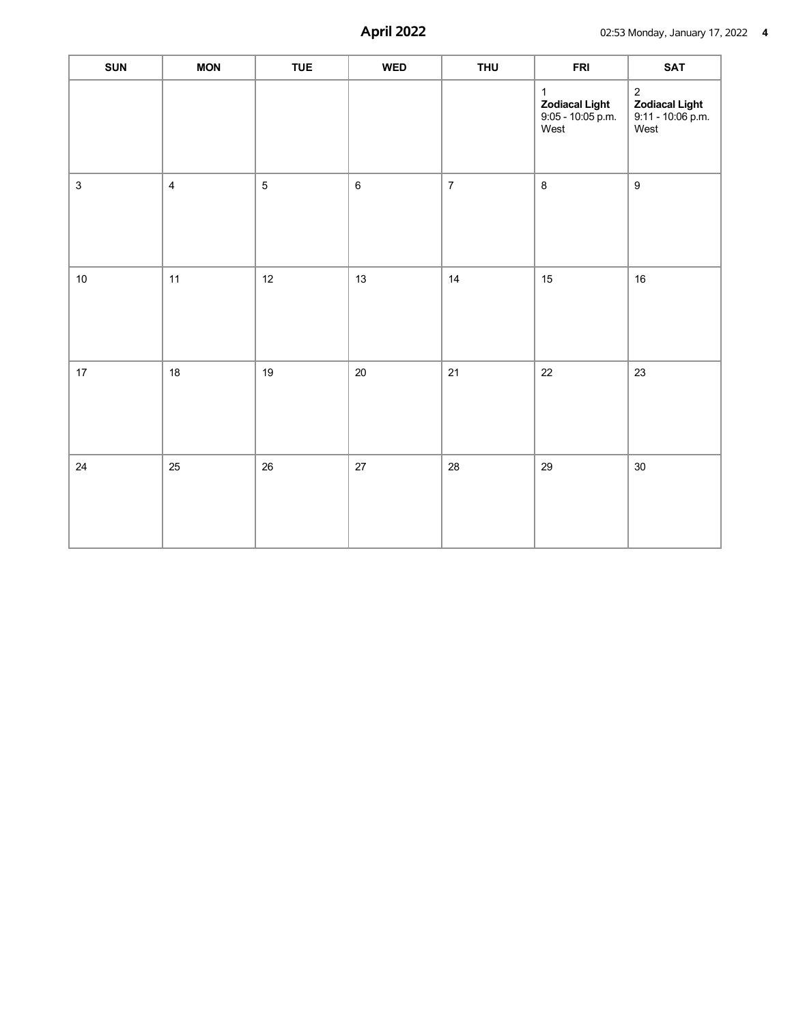| <b>SUN</b>  | <b>MON</b>              | <b>TUE</b> | <b>WED</b> | <b>THU</b>     | <b>FRI</b>                                                           | SAT                                                              |
|-------------|-------------------------|------------|------------|----------------|----------------------------------------------------------------------|------------------------------------------------------------------|
|             |                         |            |            |                | $\mathbf{1}$<br><b>Zodiacal Light</b><br>$9:05 - 10:05$ p.m.<br>West | $\sqrt{2}$<br><b>Zodiacal Light</b><br>9:11 - 10:06 p.m.<br>West |
| $\mathsf 3$ | $\overline{\mathbf{4}}$ | $\sqrt{5}$ | $\,6\,$    | $\overline{7}$ | $\,8\,$                                                              | $\boldsymbol{9}$                                                 |
| $10\,$      | 11                      | 12         | 13         | 14             | 15                                                                   | $16\,$                                                           |
| 17          | $18\,$                  | 19         | $20\,$     | 21             | 22                                                                   | 23                                                               |
| 24          | 25                      | 26         | 27         | 28             | 29                                                                   | $30\,$                                                           |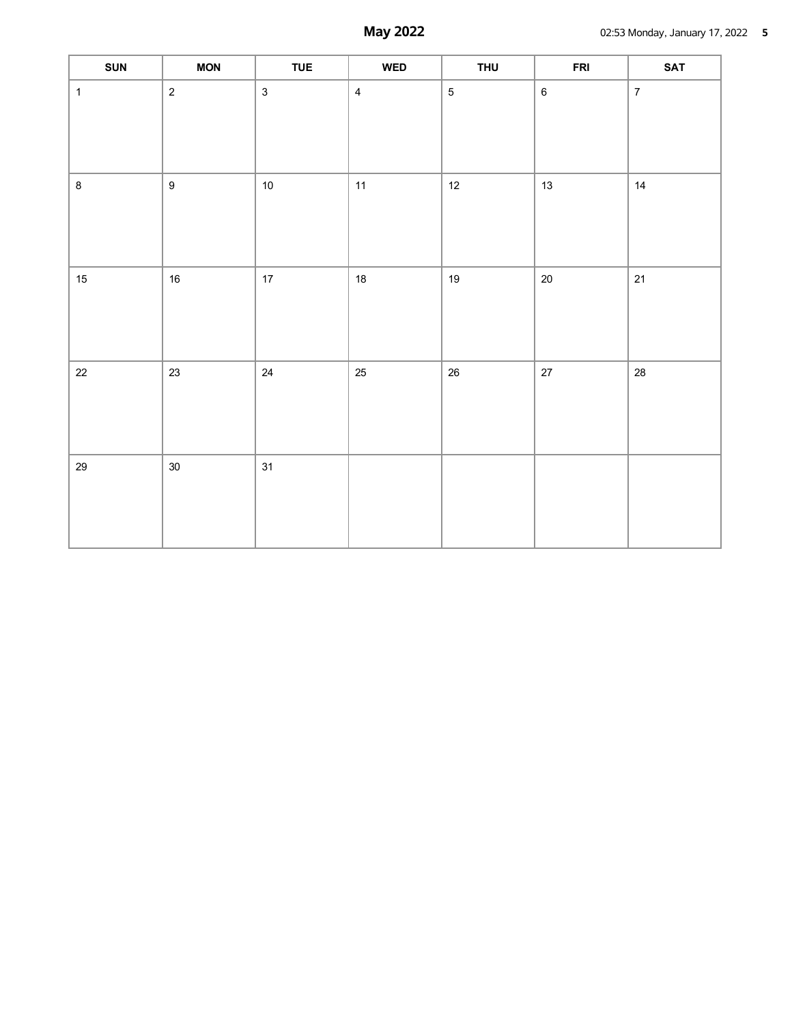| <b>SUN</b>   | <b>MON</b>       | <b>TUE</b>   | <b>WED</b>     | <b>THU</b>     | <b>FRI</b> | <b>SAT</b>     |
|--------------|------------------|--------------|----------------|----------------|------------|----------------|
| $\mathbf{1}$ | $\overline{2}$   | $\mathbf{3}$ | $\overline{4}$ | $\overline{5}$ | $\,6\,$    | $\overline{7}$ |
| $\bf 8$      | $\boldsymbol{9}$ | $10\,$       | 11             | 12             | $13$       | 14             |
| $15\,$       | $16\,$           | $17\,$       | $18\,$         | $19\,$         | $20\,$     | 21             |
| $22\,$       | 23               | 24           | 25             | $26\,$         | $27\,$     | 28             |
| 29           | $30\,$           | 31           |                |                |            |                |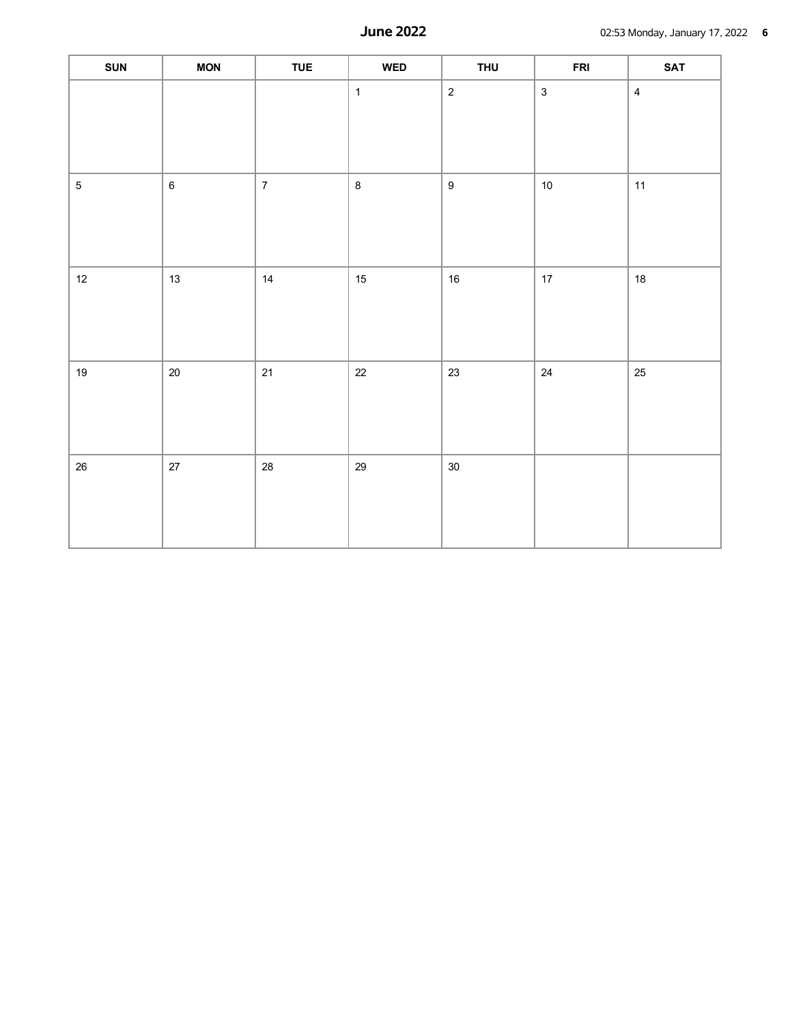| <b>SUN</b> | MON     | <b>TUE</b>     | <b>WED</b>   | <b>THU</b>       | <b>FRI</b>   | <b>SAT</b>              |
|------------|---------|----------------|--------------|------------------|--------------|-------------------------|
|            |         |                | $\mathbf{1}$ | $\overline{2}$   | $\mathbf{3}$ | $\overline{\mathbf{4}}$ |
| $\sqrt{5}$ | $\,6\,$ | $\overline{7}$ | $\bf 8$      | $\boldsymbol{9}$ | $10\,$       | 11                      |
| 12         | $13$    | $14$           | $15\,$       | $16\,$           | $17\,$       | 18                      |
| 19         | $20\,$  | $21$           | $22\,$       | 23               | $24\,$       | $25\,$                  |
| $26\,$     | $27\,$  | $28\,$         | $29\,$       | $30\,$           |              |                         |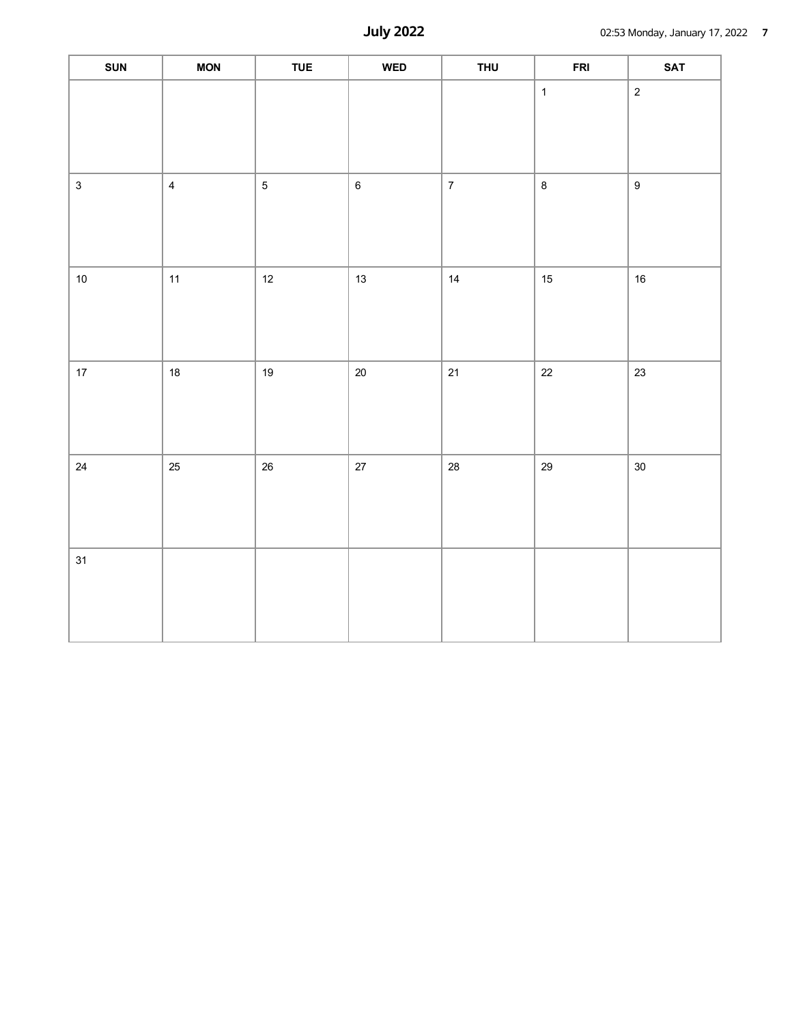| SUN          | MON                     | <b>TUE</b> | $\ensuremath{\mathsf{WED}}$ | <b>THU</b>     | <b>FRI</b>   | <b>SAT</b>       |
|--------------|-------------------------|------------|-----------------------------|----------------|--------------|------------------|
|              |                         |            |                             |                | $\mathbf{1}$ | $\sqrt{2}$       |
| $\mathbf{3}$ | $\overline{\mathbf{4}}$ | $\sqrt{5}$ | $\,6\,$                     | $\overline{7}$ | $\bf 8$      | $\boldsymbol{9}$ |
| $10\,$       | $11$                    | $12\,$     | $13\,$                      | 14             | $15\,$       | $16\,$           |
| $17\,$       | $18\,$                  | $19$       | $20\,$                      | $21$           | $22\,$       | $23\,$           |
| 24           | $25\,$                  | $26\,$     | $27\,$                      | ${\bf 28}$     | 29           | $30\,$           |
| 31           |                         |            |                             |                |              |                  |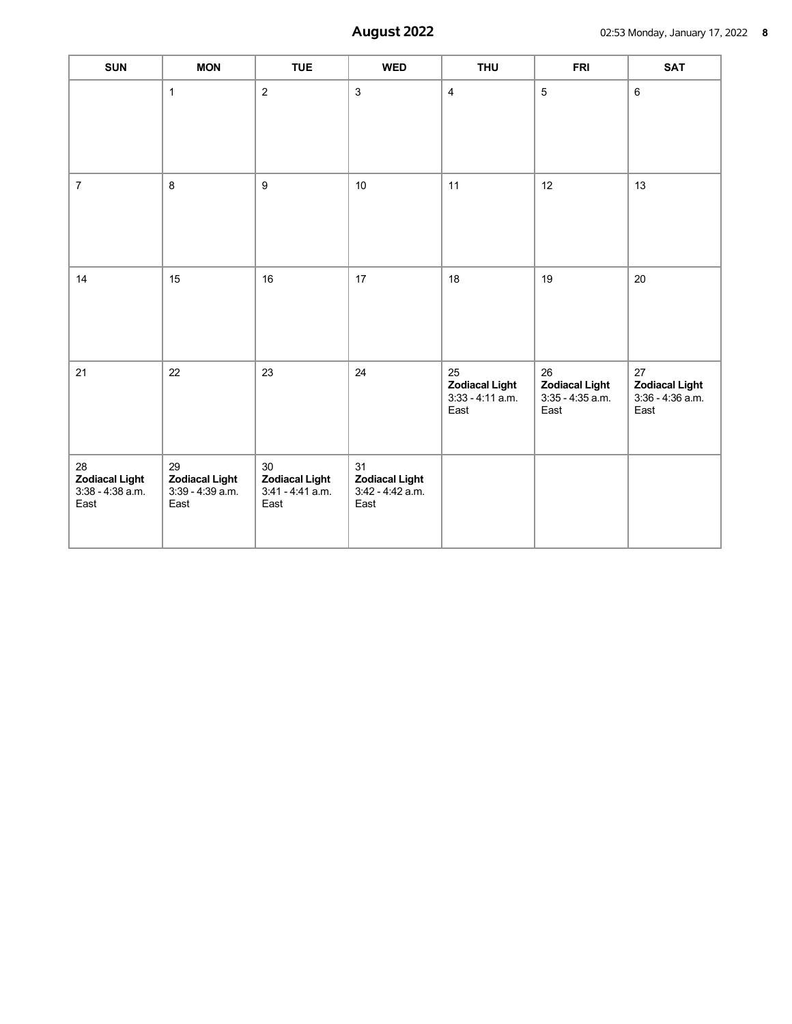| <b>SUN</b>                                                | <b>MON</b>                                                | <b>TUE</b>                                                | <b>WED</b>                                                | <b>THU</b>                                                | <b>FRI</b>                                                | <b>SAT</b>                                                |
|-----------------------------------------------------------|-----------------------------------------------------------|-----------------------------------------------------------|-----------------------------------------------------------|-----------------------------------------------------------|-----------------------------------------------------------|-----------------------------------------------------------|
|                                                           | $\mathbf{1}$                                              | $\overline{2}$                                            | $\mathbf{3}$                                              | $\overline{\mathbf{4}}$                                   | $\overline{5}$                                            | $6\phantom{1}$                                            |
| $\overline{7}$                                            | 8                                                         | $\boldsymbol{9}$                                          | $10\,$                                                    | 11                                                        | 12                                                        | 13                                                        |
| 14                                                        | 15                                                        | 16                                                        | 17                                                        | 18                                                        | 19                                                        | 20                                                        |
| 21                                                        | 22                                                        | 23                                                        | 24                                                        | 25<br><b>Zodiacal Light</b><br>$3:33 - 4:11$ a.m.<br>East | 26<br><b>Zodiacal Light</b><br>$3:35 - 4:35$ a.m.<br>East | 27<br><b>Zodiacal Light</b><br>$3:36 - 4:36$ a.m.<br>East |
| 28<br><b>Zodiacal Light</b><br>$3:38 - 4:38$ a.m.<br>East | 29<br><b>Zodiacal Light</b><br>$3:39 - 4:39$ a.m.<br>East | 30<br><b>Zodiacal Light</b><br>$3:41 - 4:41$ a.m.<br>East | 31<br><b>Zodiacal Light</b><br>$3:42 - 4:42$ a.m.<br>East |                                                           |                                                           |                                                           |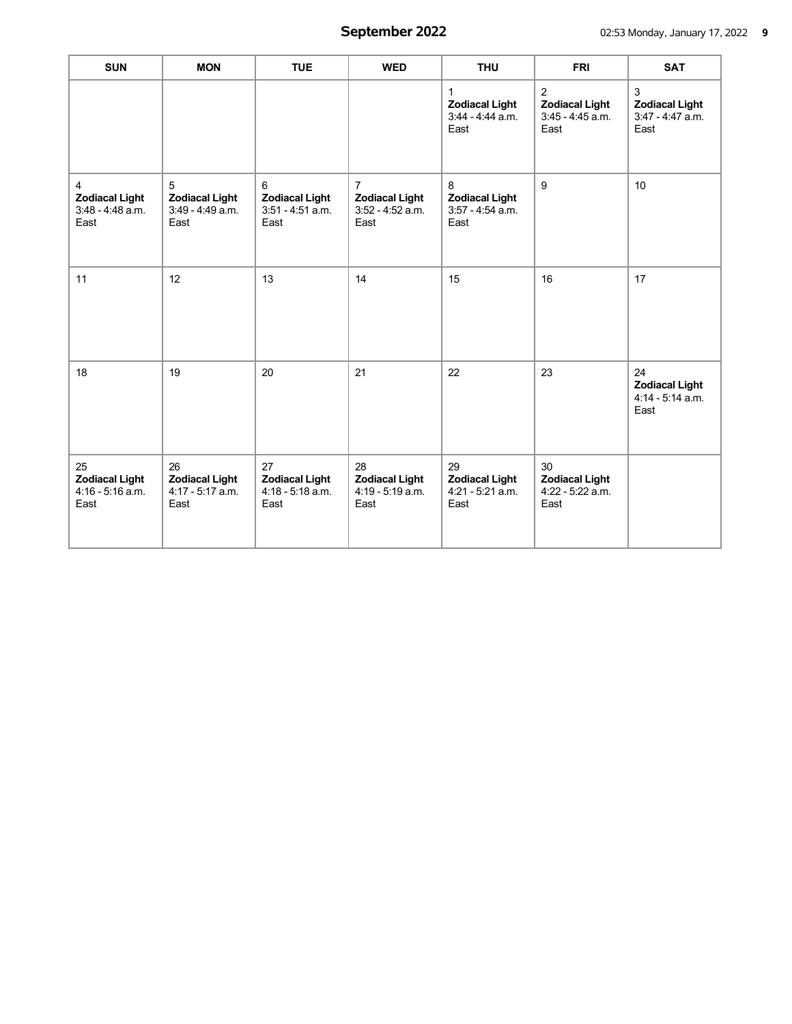| <b>SUN</b>                                               | <b>MON</b>                                                | <b>TUE</b>                                                | <b>WED</b>                                                            | <b>THU</b>                                                        | <b>FRI</b>                                                          | <b>SAT</b>                                                        |
|----------------------------------------------------------|-----------------------------------------------------------|-----------------------------------------------------------|-----------------------------------------------------------------------|-------------------------------------------------------------------|---------------------------------------------------------------------|-------------------------------------------------------------------|
|                                                          |                                                           |                                                           |                                                                       | $\mathbf{1}$<br><b>Zodiacal Light</b><br>3:44 - 4:44 a.m.<br>East | $\overline{2}$<br><b>Zodiacal Light</b><br>3:45 - 4:45 a.m.<br>East | $\mathbf{3}$<br><b>Zodiacal Light</b><br>3:47 - 4:47 a.m.<br>East |
| 4<br><b>Zodiacal Light</b><br>$3:48 - 4:48$ a.m.<br>East | 5<br><b>Zodiacal Light</b><br>$3:49 - 4:49$ a.m.<br>East  | 6<br><b>Zodiacal Light</b><br>$3:51 - 4:51$ a.m.<br>East  | $\overline{7}$<br><b>Zodiacal Light</b><br>$3:52 - 4:52$ a.m.<br>East | 8<br><b>Zodiacal Light</b><br>$3:57 - 4:54$ a.m.<br>East          | $9\,$                                                               | 10                                                                |
| 11                                                       | 12                                                        | 13                                                        | 14                                                                    | 15                                                                | 16                                                                  | 17                                                                |
| 18                                                       | 19                                                        | 20                                                        | 21                                                                    | 22                                                                | 23                                                                  | 24<br><b>Zodiacal Light</b><br>$4:14 - 5:14$ a.m.<br>East         |
| 25<br><b>Zodiacal Light</b><br>4:16 - 5:16 a.m.<br>East  | 26<br><b>Zodiacal Light</b><br>$4:17 - 5:17$ a.m.<br>East | 27<br><b>Zodiacal Light</b><br>$4:18 - 5:18$ a.m.<br>East | 28<br><b>Zodiacal Light</b><br>4:19 - 5:19 a.m.<br>East               | 29<br><b>Zodiacal Light</b><br>$4:21 - 5:21$ a.m.<br>East         | 30<br><b>Zodiacal Light</b><br>4:22 - 5:22 a.m.<br>East             |                                                                   |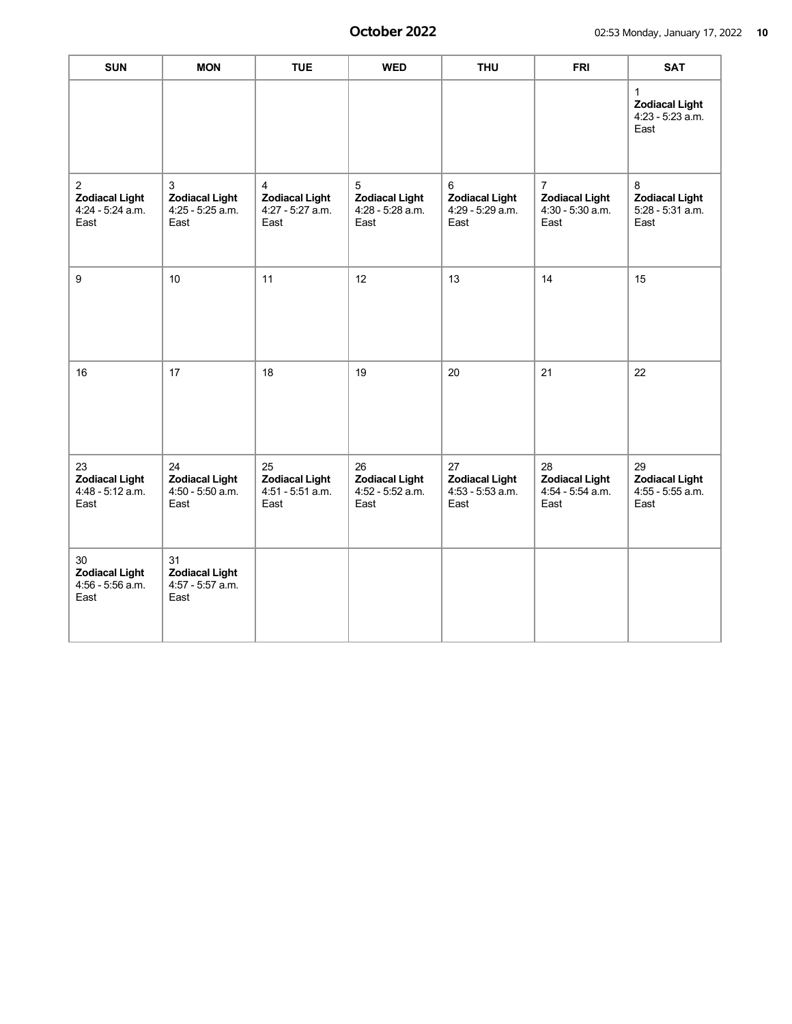| <b>SUN</b>                                                          | <b>MON</b>                                                | <b>TUE</b>                                                | <b>WED</b>                                                | <b>THU</b>                                                | <b>FRI</b>                                                          | <b>SAT</b>                                                        |
|---------------------------------------------------------------------|-----------------------------------------------------------|-----------------------------------------------------------|-----------------------------------------------------------|-----------------------------------------------------------|---------------------------------------------------------------------|-------------------------------------------------------------------|
|                                                                     |                                                           |                                                           |                                                           |                                                           |                                                                     | $\mathbf{1}$<br><b>Zodiacal Light</b><br>4:23 - 5:23 a.m.<br>East |
| $\overline{2}$<br><b>Zodiacal Light</b><br>4:24 - 5:24 a.m.<br>East | 3<br><b>Zodiacal Light</b><br>$4:25 - 5:25$ a.m.<br>East  | 4<br><b>Zodiacal Light</b><br>$4:27 - 5:27$ a.m.<br>East  | 5<br><b>Zodiacal Light</b><br>4:28 - 5:28 a.m.<br>East    | 6<br><b>Zodiacal Light</b><br>4:29 - 5:29 a.m.<br>East    | $\overline{7}$<br><b>Zodiacal Light</b><br>4:30 - 5:30 a.m.<br>East | 8<br><b>Zodiacal Light</b><br>5:28 - 5:31 a.m.<br>East            |
| 9                                                                   | 10                                                        | 11                                                        | 12                                                        | 13                                                        | 14                                                                  | 15                                                                |
| 16                                                                  | 17                                                        | 18                                                        | 19                                                        | 20                                                        | 21                                                                  | 22                                                                |
| 23<br><b>Zodiacal Light</b><br>$4:48 - 5:12$ a.m.<br>East           | 24<br><b>Zodiacal Light</b><br>$4:50 - 5:50$ a.m.<br>East | 25<br><b>Zodiacal Light</b><br>$4:51 - 5:51$ a.m.<br>East | 26<br><b>Zodiacal Light</b><br>$4:52 - 5:52$ a.m.<br>East | 27<br><b>Zodiacal Light</b><br>$4:53 - 5:53$ a.m.<br>East | 28<br><b>Zodiacal Light</b><br>$4:54 - 5:54$ a.m.<br>East           | 29<br><b>Zodiacal Light</b><br>$4:55 - 5:55$ a.m.<br>East         |
| 30<br><b>Zodiacal Light</b><br>$4:56 - 5:56$ a.m.<br>East           | 31<br><b>Zodiacal Light</b><br>4:57 - 5:57 a.m.<br>East   |                                                           |                                                           |                                                           |                                                                     |                                                                   |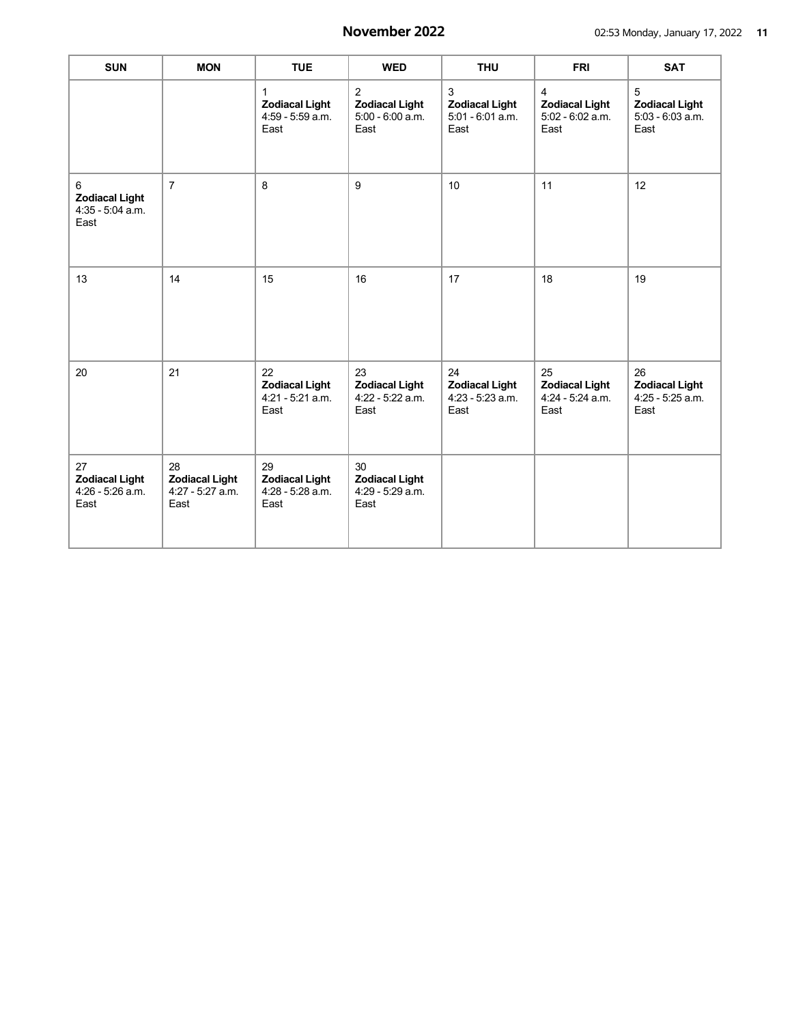| <b>SUN</b>                                              | <b>MON</b>                                                | <b>TUE</b>                                                | <b>WED</b>                                                          | <b>THU</b>                                                | <b>FRI</b>                                                          | <b>SAT</b>                                                |
|---------------------------------------------------------|-----------------------------------------------------------|-----------------------------------------------------------|---------------------------------------------------------------------|-----------------------------------------------------------|---------------------------------------------------------------------|-----------------------------------------------------------|
|                                                         |                                                           | 1<br><b>Zodiacal Light</b><br>4:59 - 5:59 a.m.<br>East    | $\overline{2}$<br><b>Zodiacal Light</b><br>5:00 - 6:00 a.m.<br>East | 3<br><b>Zodiacal Light</b><br>$5:01 - 6:01$ a.m.<br>East  | $\overline{4}$<br><b>Zodiacal Light</b><br>5:02 - 6:02 a.m.<br>East | 5<br><b>Zodiacal Light</b><br>$5:03 - 6:03$ a.m.<br>East  |
| 6<br><b>Zodiacal Light</b><br>4:35 - 5:04 a.m.<br>East  | $\overline{7}$                                            | 8                                                         | 9                                                                   | 10 <sup>10</sup>                                          | 11                                                                  | 12                                                        |
| 13                                                      | 14                                                        | 15                                                        | 16                                                                  | 17                                                        | 18                                                                  | 19                                                        |
| 20                                                      | 21                                                        | 22<br><b>Zodiacal Light</b><br>$4:21 - 5:21$ a.m.<br>East | 23<br><b>Zodiacal Light</b><br>4:22 - 5:22 a.m.<br>East             | 24<br><b>Zodiacal Light</b><br>$4:23 - 5:23$ a.m.<br>East | 25<br><b>Zodiacal Light</b><br>4:24 - 5:24 a.m.<br>East             | 26<br><b>Zodiacal Light</b><br>$4:25 - 5:25$ a.m.<br>East |
| 27<br><b>Zodiacal Light</b><br>4:26 - 5:26 a.m.<br>East | 28<br><b>Zodiacal Light</b><br>$4:27 - 5:27$ a.m.<br>East | 29<br><b>Zodiacal Light</b><br>4:28 - 5:28 a.m.<br>East   | 30<br><b>Zodiacal Light</b><br>4:29 - 5:29 a.m.<br>East             |                                                           |                                                                     |                                                           |